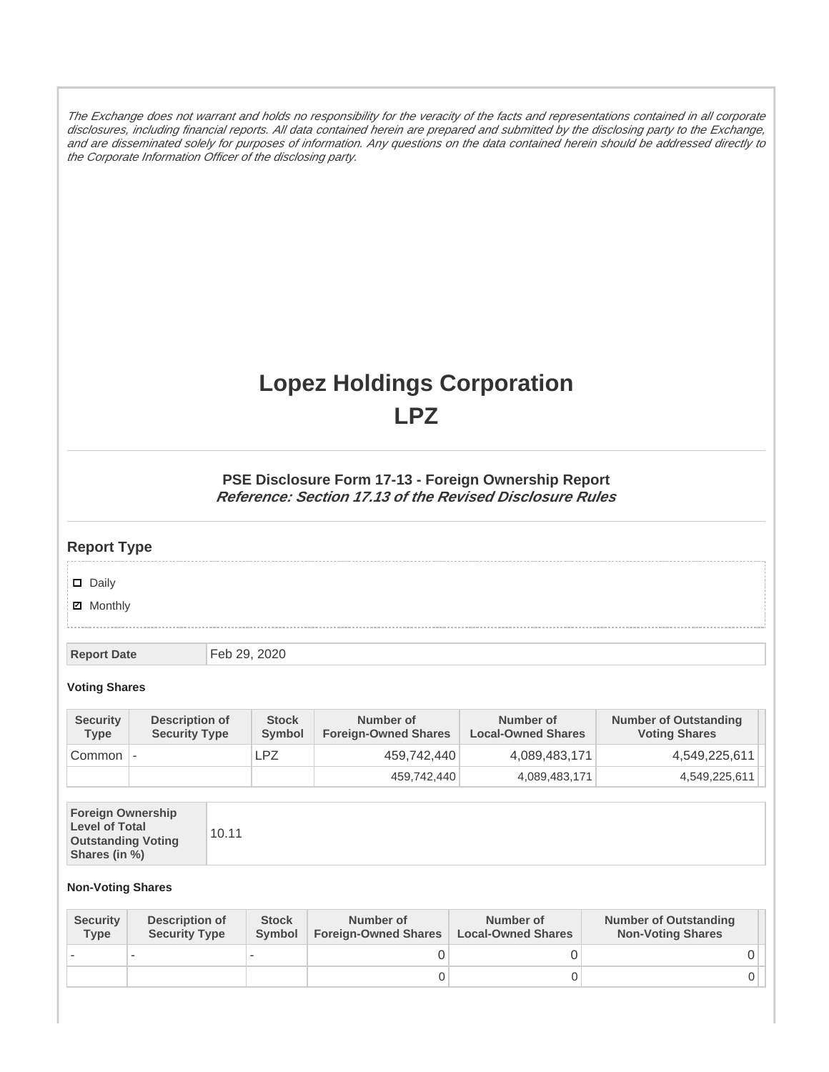The Exchange does not warrant and holds no responsibility for the veracity of the facts and representations contained in all corporate disclosures, including financial reports. All data contained herein are prepared and submitted by the disclosing party to the Exchange, and are disseminated solely for purposes of information. Any questions on the data contained herein should be addressed directly to the Corporate Information Officer of the disclosing party.

# **Lopez Holdings Corporation LPZ**

### **PSE Disclosure Form 17-13 - Foreign Ownership Report Reference: Section 17.13 of the Revised Disclosure Rules**

## **Report Type**

Daily

**Ø** Monthly

**Report Date** Feb 29, 2020

#### **Voting Shares**

| <b>Security</b><br><b>Type</b> | Description of<br><b>Security Type</b> | <b>Stock</b><br><b>Symbol</b> | Number of<br><b>Foreign-Owned Shares</b> | Number of<br><b>Local-Owned Shares</b> | <b>Number of Outstanding</b><br><b>Voting Shares</b> |
|--------------------------------|----------------------------------------|-------------------------------|------------------------------------------|----------------------------------------|------------------------------------------------------|
| Common                         |                                        | ∟PZ                           | 459,742,440                              | 4,089,483,171                          | 4,549,225,611                                        |
|                                |                                        |                               | 459,742,440                              | 4,089,483,171                          | 4,549,225,611                                        |

| <b>Foreign Ownership</b><br><b>Level of Total</b><br><b>Outstanding Voting</b><br>Shares (in %) |
|-------------------------------------------------------------------------------------------------|
|-------------------------------------------------------------------------------------------------|

#### **Non-Voting Shares**

| <b>Security</b><br><b>Type</b> | <b>Description of</b><br><b>Security Type</b> | <b>Stock</b><br>Symbol | Number of<br><b>Foreign-Owned Shares</b> | Number of<br><b>Local-Owned Shares</b> | <b>Number of Outstanding</b><br><b>Non-Voting Shares</b> |
|--------------------------------|-----------------------------------------------|------------------------|------------------------------------------|----------------------------------------|----------------------------------------------------------|
|                                |                                               |                        |                                          |                                        |                                                          |
|                                |                                               |                        |                                          |                                        |                                                          |